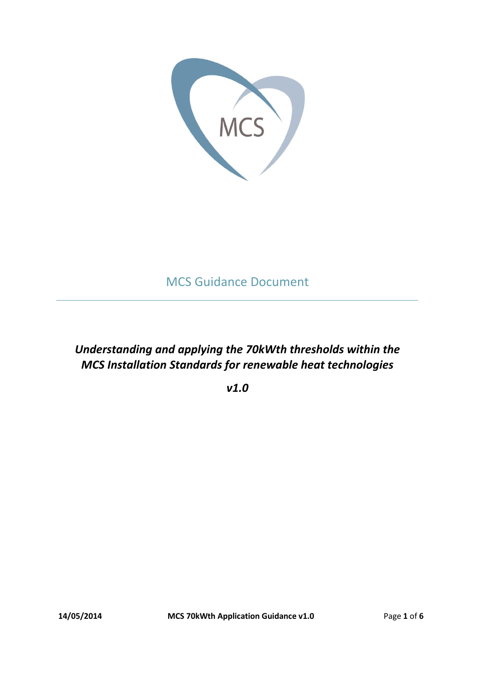

## MCS Guidance Document

### *Understanding and applying the 70kWth thresholds within the MCS Installation Standards for renewable heat technologies*

*v1.0*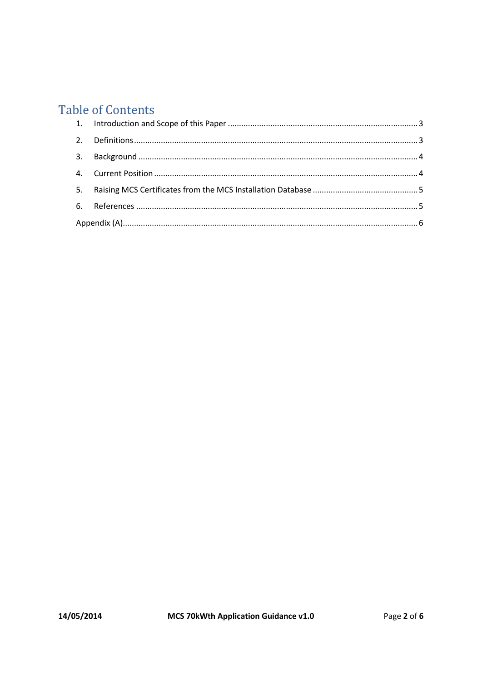# **Table of Contents**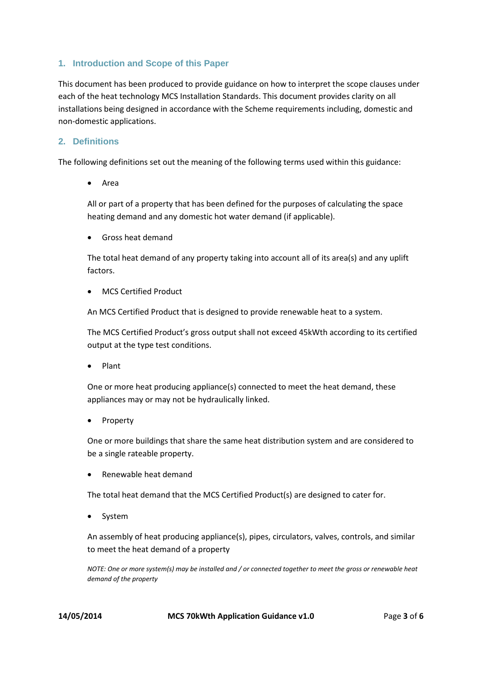#### <span id="page-2-0"></span>**1. Introduction and Scope of this Paper**

This document has been produced to provide guidance on how to interpret the scope clauses under each of the heat technology MCS Installation Standards. This document provides clarity on all installations being designed in accordance with the Scheme requirements including, domestic and non-domestic applications.

#### <span id="page-2-1"></span>**2. Definitions**

The following definitions set out the meaning of the following terms used within this guidance:

Area

All or part of a property that has been defined for the purposes of calculating the space heating demand and any domestic hot water demand (if applicable).

Gross heat demand

The total heat demand of any property taking into account all of its area(s) and any uplift factors.

MCS Certified Product

An MCS Certified Product that is designed to provide renewable heat to a system.

The MCS Certified Product's gross output shall not exceed 45kWth according to its certified output at the type test conditions.

Plant

One or more heat producing appliance(s) connected to meet the heat demand, these appliances may or may not be hydraulically linked.

Property

One or more buildings that share the same heat distribution system and are considered to be a single rateable property.

Renewable heat demand

The total heat demand that the MCS Certified Product(s) are designed to cater for.

System

An assembly of heat producing appliance(s), pipes, circulators, valves, controls, and similar to meet the heat demand of a property

*NOTE: One or more system(s) may be installed and / or connected together to meet the gross or renewable heat demand of the property*

**14/05/2014 MCS 70kWth Application Guidance v1.0** Page **3** of **6**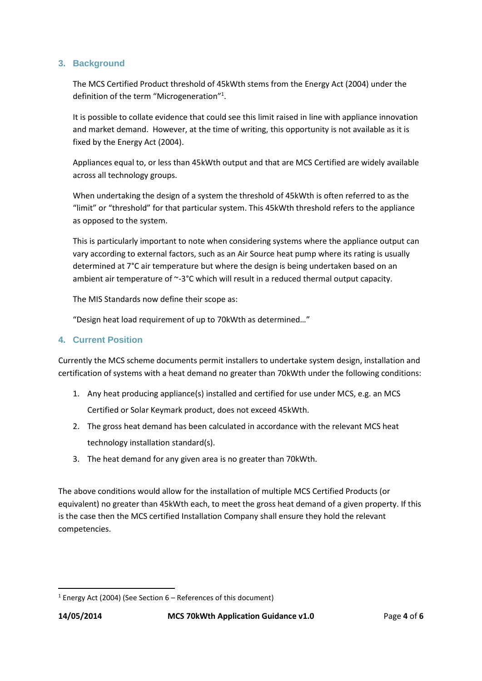#### <span id="page-3-0"></span>**3. Background**

The MCS Certified Product threshold of 45kWth stems from the Energy Act (2004) under the definition of the term "Microgeneration"<sup>1</sup>.

It is possible to collate evidence that could see this limit raised in line with appliance innovation and market demand. However, at the time of writing, this opportunity is not available as it is fixed by the Energy Act (2004).

Appliances equal to, or less than 45kWth output and that are MCS Certified are widely available across all technology groups.

When undertaking the design of a system the threshold of 45kWth is often referred to as the "limit" or "threshold" for that particular system. This 45kWth threshold refers to the appliance as opposed to the system.

This is particularly important to note when considering systems where the appliance output can vary according to external factors, such as an Air Source heat pump where its rating is usually determined at 7°C air temperature but where the design is being undertaken based on an ambient air temperature of  $\sim$ -3°C which will result in a reduced thermal output capacity.

The MIS Standards now define their scope as:

"Design heat load requirement of up to 70kWth as determined…"

#### <span id="page-3-1"></span>**4. Current Position**

Currently the MCS scheme documents permit installers to undertake system design, installation and certification of systems with a heat demand no greater than 70kWth under the following conditions:

- 1. Any heat producing appliance(s) installed and certified for use under MCS, e.g. an MCS Certified or Solar Keymark product, does not exceed 45kWth.
- 2. The gross heat demand has been calculated in accordance with the relevant MCS heat technology installation standard(s).
- 3. The heat demand for any given area is no greater than 70kWth.

The above conditions would allow for the installation of multiple MCS Certified Products (or equivalent) no greater than 45kWth each, to meet the gross heat demand of a given property. If this is the case then the MCS certified Installation Company shall ensure they hold the relevant competencies.

 $\overline{\phantom{a}}$ 

<sup>&</sup>lt;sup>1</sup> Energy Act (2004) (See Section  $6$  – References of this document)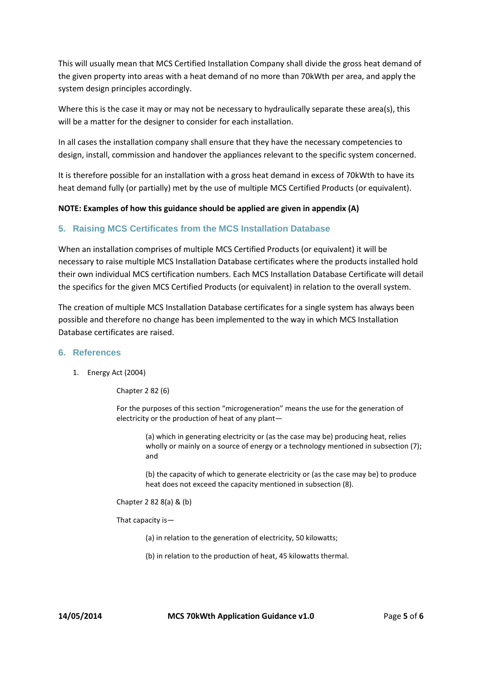This will usually mean that MCS Certified Installation Company shall divide the gross heat demand of the given property into areas with a heat demand of no more than 70kWth per area, and apply the system design principles accordingly.

Where this is the case it may or may not be necessary to hydraulically separate these area(s), this will be a matter for the designer to consider for each installation.

In all cases the installation company shall ensure that they have the necessary competencies to design, install, commission and handover the appliances relevant to the specific system concerned.

It is therefore possible for an installation with a gross heat demand in excess of 70kWth to have its heat demand fully (or partially) met by the use of multiple MCS Certified Products (or equivalent).

#### **NOTE: Examples of how this guidance should be applied are given in appendix (A)**

#### <span id="page-4-0"></span>**5. Raising MCS Certificates from the MCS Installation Database**

When an installation comprises of multiple MCS Certified Products (or equivalent) it will be necessary to raise multiple MCS Installation Database certificates where the products installed hold their own individual MCS certification numbers. Each MCS Installation Database Certificate will detail the specifics for the given MCS Certified Products (or equivalent) in relation to the overall system.

The creation of multiple MCS Installation Database certificates for a single system has always been possible and therefore no change has been implemented to the way in which MCS Installation Database certificates are raised.

#### <span id="page-4-1"></span>**6. References**

1. Energy Act (2004)

Chapter 2 82 (6)

For the purposes of this section "microgeneration" means the use for the generation of electricity or the production of heat of any plant—

> (a) which in generating electricity or (as the case may be) producing heat, relies wholly or mainly on a source of energy or a technology mentioned in subsection (7); and

(b) the capacity of which to generate electricity or (as the case may be) to produce heat does not exceed the capacity mentioned in subsection (8).

Chapter 2 82 8(a) & (b)

That capacity is—

(a) in relation to the generation of electricity, 50 kilowatts;

(b) in relation to the production of heat, 45 kilowatts thermal.